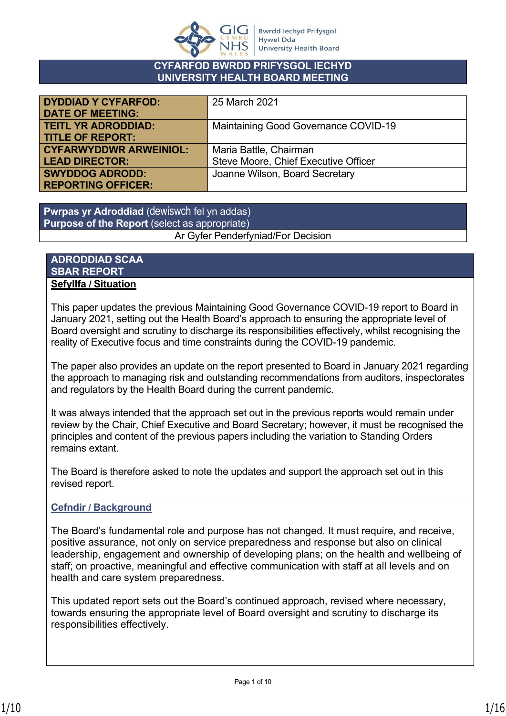

#### **CYFARFOD BWRDD PRIFYSGOL IECHYD UNIVERSITY HEALTH BOARD MEETING**

| <b>DYDDIAD Y CYFARFOD:</b>    | 25 March 2021                        |
|-------------------------------|--------------------------------------|
| <b>DATE OF MEETING:</b>       |                                      |
| <b>TEITL YR ADRODDIAD:</b>    | Maintaining Good Governance COVID-19 |
| <b>TITLE OF REPORT:</b>       |                                      |
| <b>CYFARWYDDWR ARWEINIOL:</b> | Maria Battle, Chairman               |
| <b>LEAD DIRECTOR:</b>         | Steve Moore, Chief Executive Officer |
| <b>SWYDDOG ADRODD:</b>        | Joanne Wilson, Board Secretary       |
| <b>REPORTING OFFICER:</b>     |                                      |

**Pwrpas yr Adroddiad** (dewiswch fel yn addas) **Purpose of the Report** (select as appropriate) Ar Gyfer Penderfyniad/For Decision

#### **ADRODDIAD SCAA SBAR REPORT Sefyllfa / Situation**

This paper updates the previous Maintaining Good Governance COVID-19 report to Board in January 2021, setting out the Health Board's approach to ensuring the appropriate level of Board oversight and scrutiny to discharge its responsibilities effectively, whilst recognising the reality of Executive focus and time constraints during the COVID-19 pandemic.

The paper also provides an update on the report presented to Board in January 2021 regarding the approach to managing risk and outstanding recommendations from auditors, inspectorates and regulators by the Health Board during the current pandemic.

It was always intended that the approach set out in the previous reports would remain under review by the Chair, Chief Executive and Board Secretary; however, it must be recognised the principles and content of the previous papers including the variation to Standing Orders remains extant.

The Board is therefore asked to note the updates and support the approach set out in this revised report.

## **Cefndir / Background**

The Board's fundamental role and purpose has not changed. It must require, and receive, positive assurance, not only on service preparedness and response but also on clinical leadership, engagement and ownership of developing plans; on the health and wellbeing of staff; on proactive, meaningful and effective communication with staff at all levels and on health and care system preparedness.

This updated report sets out the Board's continued approach, revised where necessary, towards ensuring the appropriate level of Board oversight and scrutiny to discharge its responsibilities effectively.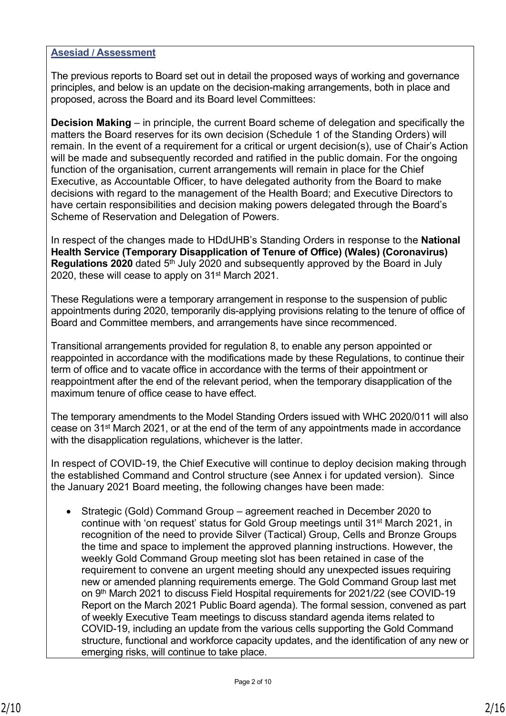#### **Asesiad / Assessment**

The previous reports to Board set out in detail the proposed ways of working and governance principles, and below is an update on the decision-making arrangements, both in place and proposed, across the Board and its Board level Committees:

**Decision Making** – in principle, the current Board scheme of delegation and specifically the matters the Board reserves for its own decision (Schedule 1 of the Standing Orders) will remain. In the event of a requirement for a critical or urgent decision(s), use of Chair's Action will be made and subsequently recorded and ratified in the public domain. For the ongoing function of the organisation, current arrangements will remain in place for the Chief Executive, as Accountable Officer, to have delegated authority from the Board to make decisions with regard to the management of the Health Board; and Executive Directors to have certain responsibilities and decision making powers delegated through the Board's Scheme of Reservation and Delegation of Powers.

In respect of the changes made to HDdUHB's Standing Orders in response to the **National Health Service (Temporary Disapplication of Tenure of Office) (Wales) (Coronavirus) Regulations 2020** dated 5<sup>th</sup> July 2020 and subsequently approved by the Board in July 2020, these will cease to apply on 31st March 2021.

These Regulations were a temporary arrangement in response to the suspension of public appointments during 2020, temporarily dis-applying provisions relating to the tenure of office of Board and Committee members, and arrangements have since recommenced.

Transitional arrangements provided for regulation 8, to enable any person appointed or reappointed in accordance with the modifications made by these Regulations, to continue their term of office and to vacate office in accordance with the terms of their appointment or reappointment after the end of the relevant period, when the temporary disapplication of the maximum tenure of office cease to have effect.

The temporary amendments to the Model Standing Orders issued with WHC 2020/011 will also cease on 31st March 2021, or at the end of the term of any appointments made in accordance with the disapplication regulations, whichever is the latter.

In respect of COVID-19, the Chief Executive will continue to deploy decision making through the established Command and Control structure (see Annex i for updated version). Since the January 2021 Board meeting, the following changes have been made:

 Strategic (Gold) Command Group – agreement reached in December 2020 to continue with 'on request' status for Gold Group meetings until 31<sup>st</sup> March 2021, in recognition of the need to provide Silver (Tactical) Group, Cells and Bronze Groups the time and space to implement the approved planning instructions. However, the weekly Gold Command Group meeting slot has been retained in case of the requirement to convene an urgent meeting should any unexpected issues requiring new or amended planning requirements emerge. The Gold Command Group last met on 9th March 2021 to discuss Field Hospital requirements for 2021/22 (see COVID-19 Report on the March 2021 Public Board agenda). The formal session, convened as part of weekly Executive Team meetings to discuss standard agenda items related to COVID-19, including an update from the various cells supporting the Gold Command structure, functional and workforce capacity updates, and the identification of any new or emerging risks, will continue to take place.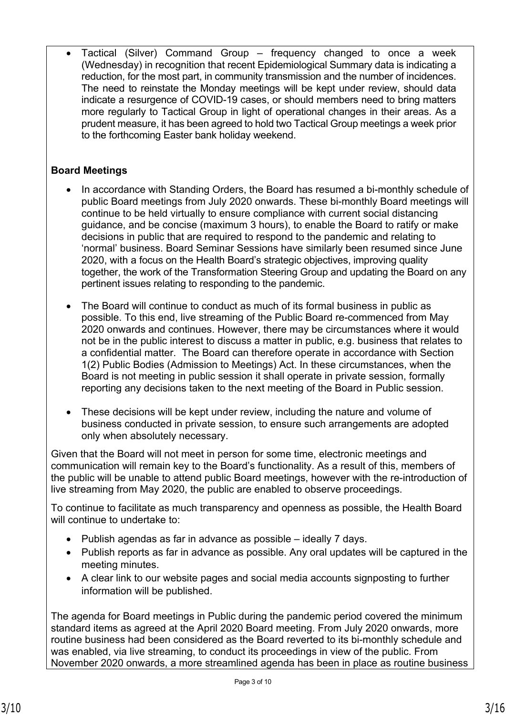Tactical (Silver) Command Group – frequency changed to once a week (Wednesday) in recognition that recent Epidemiological Summary data is indicating a reduction, for the most part, in community transmission and the number of incidences. The need to reinstate the Monday meetings will be kept under review, should data indicate a resurgence of COVID-19 cases, or should members need to bring matters more regularly to Tactical Group in light of operational changes in their areas. As a prudent measure, it has been agreed to hold two Tactical Group meetings a week prior to the forthcoming Easter bank holiday weekend.

# **Board Meetings**

- In accordance with Standing Orders, the Board has resumed a bi-monthly schedule of public Board meetings from July 2020 onwards. These bi-monthly Board meetings will continue to be held virtually to ensure compliance with current social distancing guidance, and be concise (maximum 3 hours), to enable the Board to ratify or make decisions in public that are required to respond to the pandemic and relating to 'normal' business. Board Seminar Sessions have similarly been resumed since June 2020, with a focus on the Health Board's strategic objectives, improving quality together, the work of the Transformation Steering Group and updating the Board on any pertinent issues relating to responding to the pandemic.
- The Board will continue to conduct as much of its formal business in public as possible. To this end, live streaming of the Public Board re-commenced from May 2020 onwards and continues. However, there may be circumstances where it would not be in the public interest to discuss a matter in public, e.g. business that relates to a confidential matter. The Board can therefore operate in accordance with Section 1(2) Public Bodies (Admission to Meetings) Act. In these circumstances, when the Board is not meeting in public session it shall operate in private session, formally reporting any decisions taken to the next meeting of the Board in Public session.
- These decisions will be kept under review, including the nature and volume of business conducted in private session, to ensure such arrangements are adopted only when absolutely necessary.

Given that the Board will not meet in person for some time, electronic meetings and communication will remain key to the Board's functionality. As a result of this, members of the public will be unable to attend public Board meetings, however with the re-introduction of live streaming from May 2020, the public are enabled to observe proceedings.

To continue to facilitate as much transparency and openness as possible, the Health Board will continue to undertake to:

- Publish agendas as far in advance as possible ideally 7 days.
- Publish reports as far in advance as possible. Any oral updates will be captured in the meeting minutes.
- A clear link to our website pages and social media accounts signposting to further information will be published.

The agenda for Board meetings in Public during the pandemic period covered the minimum standard items as agreed at the April 2020 Board meeting. From July 2020 onwards, more routine business had been considered as the Board reverted to its bi-monthly schedule and was enabled, via live streaming, to conduct its proceedings in view of the public. From November 2020 onwards, a more streamlined agenda has been in place as routine business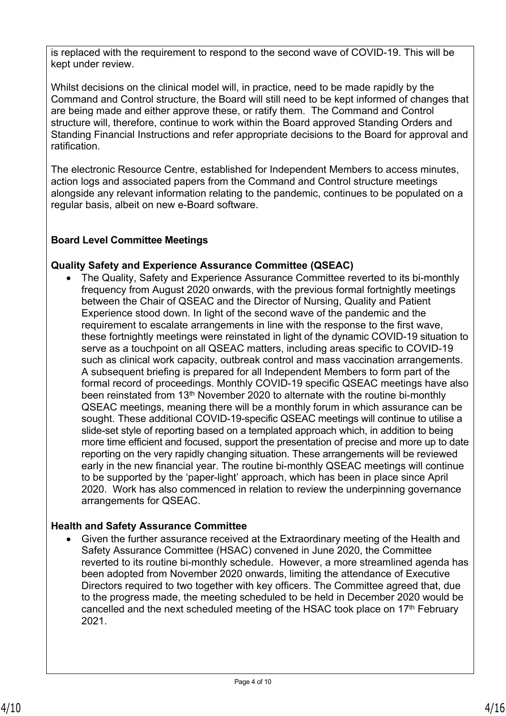is replaced with the requirement to respond to the second wave of COVID-19. This will be kept under review.

Whilst decisions on the clinical model will, in practice, need to be made rapidly by the Command and Control structure, the Board will still need to be kept informed of changes that are being made and either approve these, or ratify them. The Command and Control structure will, therefore, continue to work within the Board approved Standing Orders and Standing Financial Instructions and refer appropriate decisions to the Board for approval and ratification.

The electronic Resource Centre, established for Independent Members to access minutes, action logs and associated papers from the Command and Control structure meetings alongside any relevant information relating to the pandemic, continues to be populated on a regular basis, albeit on new e-Board software.

## **Board Level Committee Meetings**

## **Quality Safety and Experience Assurance Committee (QSEAC)**

 The Quality, Safety and Experience Assurance Committee reverted to its bi-monthly frequency from August 2020 onwards, with the previous formal fortnightly meetings between the Chair of QSEAC and the Director of Nursing, Quality and Patient Experience stood down. In light of the second wave of the pandemic and the requirement to escalate arrangements in line with the response to the first wave, these fortnightly meetings were reinstated in light of the dynamic COVID-19 situation to serve as a touchpoint on all QSEAC matters, including areas specific to COVID-19 such as clinical work capacity, outbreak control and mass vaccination arrangements. A subsequent briefing is prepared for all Independent Members to form part of the formal record of proceedings. Monthly COVID-19 specific QSEAC meetings have also been reinstated from 13<sup>th</sup> November 2020 to alternate with the routine bi-monthly QSEAC meetings, meaning there will be a monthly forum in which assurance can be sought. These additional COVID-19-specific QSEAC meetings will continue to utilise a slide-set style of reporting based on a templated approach which, in addition to being more time efficient and focused, support the presentation of precise and more up to date reporting on the very rapidly changing situation. These arrangements will be reviewed early in the new financial year. The routine bi-monthly QSEAC meetings will continue to be supported by the 'paper-light' approach, which has been in place since April 2020. Work has also commenced in relation to review the underpinning governance arrangements for QSEAC.

## **Health and Safety Assurance Committee**

 Given the further assurance received at the Extraordinary meeting of the Health and Safety Assurance Committee (HSAC) convened in June 2020, the Committee reverted to its routine bi-monthly schedule. However, a more streamlined agenda has been adopted from November 2020 onwards, limiting the attendance of Executive Directors required to two together with key officers. The Committee agreed that, due to the progress made, the meeting scheduled to be held in December 2020 would be cancelled and the next scheduled meeting of the HSAC took place on  $17<sup>th</sup>$  February 2021.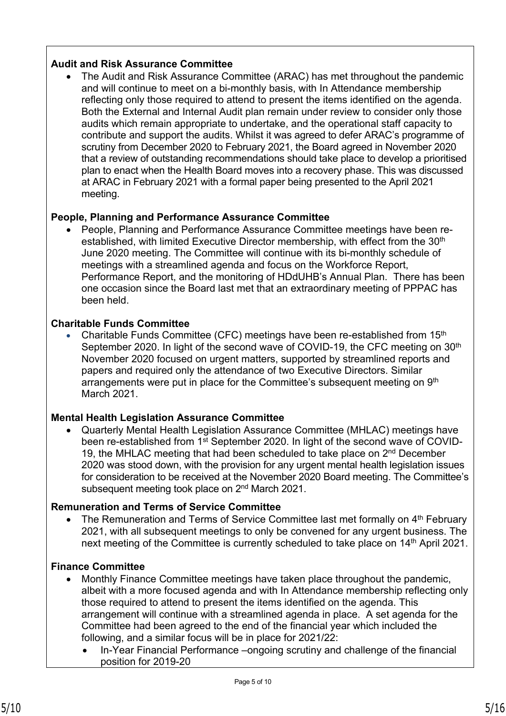## **Audit and Risk Assurance Committee**

 The Audit and Risk Assurance Committee (ARAC) has met throughout the pandemic and will continue to meet on a bi-monthly basis, with In Attendance membership reflecting only those required to attend to present the items identified on the agenda. Both the External and Internal Audit plan remain under review to consider only those audits which remain appropriate to undertake, and the operational staff capacity to contribute and support the audits. Whilst it was agreed to defer ARAC's programme of scrutiny from December 2020 to February 2021, the Board agreed in November 2020 that a review of outstanding recommendations should take place to develop a prioritised plan to enact when the Health Board moves into a recovery phase. This was discussed at ARAC in February 2021 with a formal paper being presented to the April 2021 meeting.

## **People, Planning and Performance Assurance Committee**

 People, Planning and Performance Assurance Committee meetings have been reestablished, with limited Executive Director membership, with effect from the 30<sup>th</sup> June 2020 meeting. The Committee will continue with its bi-monthly schedule of meetings with a streamlined agenda and focus on the Workforce Report, Performance Report, and the monitoring of HDdUHB's Annual Plan. There has been one occasion since the Board last met that an extraordinary meeting of PPPAC has been held.

## **Charitable Funds Committee**

 Charitable Funds Committee (CFC) meetings have been re-established from 15th September 2020. In light of the second wave of COVID-19, the CFC meeting on 30<sup>th</sup> November 2020 focused on urgent matters, supported by streamlined reports and papers and required only the attendance of two Executive Directors. Similar arrangements were put in place for the Committee's subsequent meeting on 9<sup>th</sup> March 2021.

# **Mental Health Legislation Assurance Committee**

 Quarterly Mental Health Legislation Assurance Committee (MHLAC) meetings have been re-established from 1<sup>st</sup> September 2020. In light of the second wave of COVID-19, the MHLAC meeting that had been scheduled to take place on 2<sup>nd</sup> December 2020 was stood down, with the provision for any urgent mental health legislation issues for consideration to be received at the November 2020 Board meeting. The Committee's subsequent meeting took place on 2<sup>nd</sup> March 2021.

## **Remuneration and Terms of Service Committee**

The Remuneration and Terms of Service Committee last met formally on 4<sup>th</sup> February 2021, with all subsequent meetings to only be convened for any urgent business. The next meeting of the Committee is currently scheduled to take place on 14<sup>th</sup> April 2021.

## **Finance Committee**

- Monthly Finance Committee meetings have taken place throughout the pandemic, albeit with a more focused agenda and with In Attendance membership reflecting only those required to attend to present the items identified on the agenda. This arrangement will continue with a streamlined agenda in place. A set agenda for the Committee had been agreed to the end of the financial year which included the following, and a similar focus will be in place for 2021/22:
	- In-Year Financial Performance –ongoing scrutiny and challenge of the financial position for 2019-20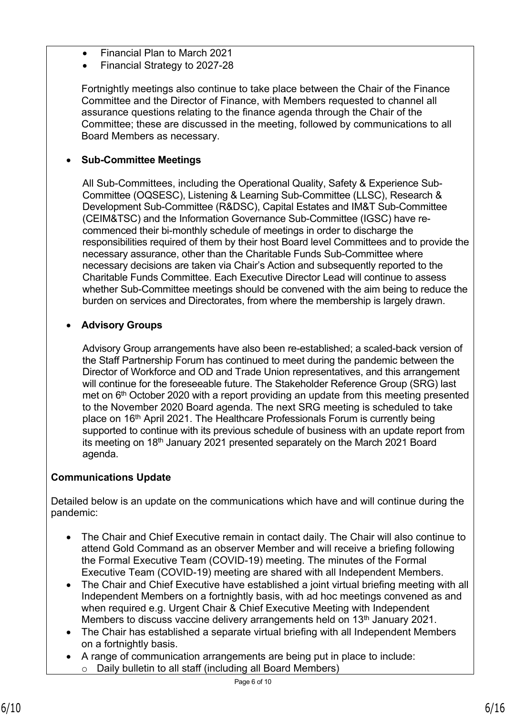- Financial Plan to March 2021
- Financial Strategy to 2027-28

Fortnightly meetings also continue to take place between the Chair of the Finance Committee and the Director of Finance, with Members requested to channel all assurance questions relating to the finance agenda through the Chair of the Committee; these are discussed in the meeting, followed by communications to all Board Members as necessary.

# **Sub-Committee Meetings**

All Sub-Committees, including the Operational Quality, Safety & Experience Sub-Committee (OQSESC), Listening & Learning Sub-Committee (LLSC), Research & Development Sub-Committee (R&DSC), Capital Estates and IM&T Sub-Committee (CEIM&TSC) and the Information Governance Sub-Committee (IGSC) have recommenced their bi-monthly schedule of meetings in order to discharge the responsibilities required of them by their host Board level Committees and to provide the necessary assurance, other than the Charitable Funds Sub-Committee where necessary decisions are taken via Chair's Action and subsequently reported to the Charitable Funds Committee. Each Executive Director Lead will continue to assess whether Sub-Committee meetings should be convened with the aim being to reduce the burden on services and Directorates, from where the membership is largely drawn.

# **Advisory Groups**

Advisory Group arrangements have also been re-established; a scaled-back version of the Staff Partnership Forum has continued to meet during the pandemic between the Director of Workforce and OD and Trade Union representatives, and this arrangement will continue for the foreseeable future. The Stakeholder Reference Group (SRG) last met on  $6<sup>th</sup>$  October 2020 with a report providing an update from this meeting presented to the November 2020 Board agenda. The next SRG meeting is scheduled to take place on 16<sup>th</sup> April 2021. The Healthcare Professionals Forum is currently being supported to continue with its previous schedule of business with an update report from its meeting on 18<sup>th</sup> January 2021 presented separately on the March 2021 Board agenda.

# **Communications Update**

Detailed below is an update on the communications which have and will continue during the pandemic:

- The Chair and Chief Executive remain in contact daily. The Chair will also continue to attend Gold Command as an observer Member and will receive a briefing following the Formal Executive Team (COVID-19) meeting. The minutes of the Formal Executive Team (COVID-19) meeting are shared with all Independent Members.
- The Chair and Chief Executive have established a joint virtual briefing meeting with all Independent Members on a fortnightly basis, with ad hoc meetings convened as and when required e.g. Urgent Chair & Chief Executive Meeting with Independent Members to discuss vaccine delivery arrangements held on 13<sup>th</sup> January 2021.
- The Chair has established a separate virtual briefing with all Independent Members on a fortnightly basis.
- A range of communication arrangements are being put in place to include: Daily bulletin to all staff (including all Board Members)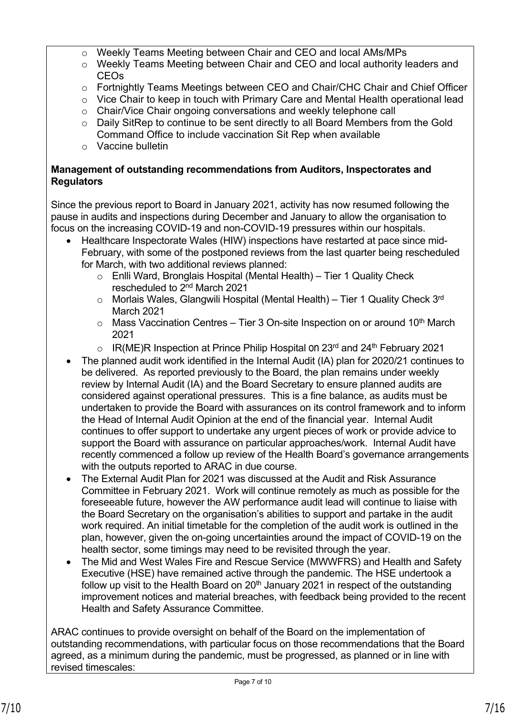- o Weekly Teams Meeting between Chair and CEO and local AMs/MPs
- o Weekly Teams Meeting between Chair and CEO and local authority leaders and CEOs
- o Fortnightly Teams Meetings between CEO and Chair/CHC Chair and Chief Officer
- o Vice Chair to keep in touch with Primary Care and Mental Health operational lead
- o Chair/Vice Chair ongoing conversations and weekly telephone call
- o Daily SitRep to continue to be sent directly to all Board Members from the Gold Command Office to include vaccination Sit Rep when available
- o Vaccine bulletin

## **Management of outstanding recommendations from Auditors, Inspectorates and Regulators**

Since the previous report to Board in January 2021, activity has now resumed following the pause in audits and inspections during December and January to allow the organisation to focus on the increasing COVID-19 and non-COVID-19 pressures within our hospitals.

- Healthcare Inspectorate Wales (HIW) inspections have restarted at pace since mid-February, with some of the postponed reviews from the last quarter being rescheduled for March, with two additional reviews planned:
	- o Enlli Ward, Bronglais Hospital (Mental Health) Tier 1 Quality Check rescheduled to 2nd March 2021
	- $\circ$  Morlais Wales, Glangwili Hospital (Mental Health) Tier 1 Quality Check 3<sup>rd</sup> March 2021
	- $\circ$  Mass Vaccination Centres Tier 3 On-site Inspection on or around 10<sup>th</sup> March 2021
	- $\circ$  IR(ME)R Inspection at Prince Philip Hospital on 23<sup>rd</sup> and 24<sup>th</sup> February 2021
- The planned audit work identified in the Internal Audit (IA) plan for 2020/21 continues to be delivered. As reported previously to the Board, the plan remains under weekly review by Internal Audit (IA) and the Board Secretary to ensure planned audits are considered against operational pressures. This is a fine balance, as audits must be undertaken to provide the Board with assurances on its control framework and to inform the Head of Internal Audit Opinion at the end of the financial year. Internal Audit continues to offer support to undertake any urgent pieces of work or provide advice to support the Board with assurance on particular approaches/work. Internal Audit have recently commenced a follow up review of the Health Board's governance arrangements with the outputs reported to ARAC in due course.
- The External Audit Plan for 2021 was discussed at the Audit and Risk Assurance Committee in February 2021. Work will continue remotely as much as possible for the foreseeable future, however the AW performance audit lead will continue to liaise with the Board Secretary on the organisation's abilities to support and partake in the audit work required. An initial timetable for the completion of the audit work is outlined in the plan, however, given the on-going uncertainties around the impact of COVID-19 on the health sector, some timings may need to be revisited through the year.
- The Mid and West Wales Fire and Rescue Service (MWWFRS) and Health and Safety Executive (HSE) have remained active through the pandemic. The HSE undertook a follow up visit to the Health Board on  $20<sup>th</sup>$  January 2021 in respect of the outstanding improvement notices and material breaches, with feedback being provided to the recent Health and Safety Assurance Committee.

ARAC continues to provide oversight on behalf of the Board on the implementation of outstanding recommendations, with particular focus on those recommendations that the Board agreed, as a minimum during the pandemic, must be progressed, as planned or in line with revised timescales: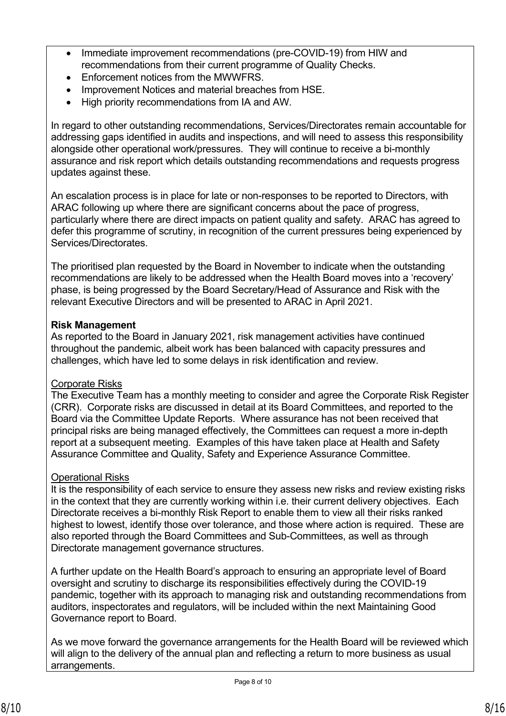- Immediate improvement recommendations (pre-COVID-19) from HIW and recommendations from their current programme of Quality Checks.
- Enforcement notices from the MWWFRS.
- Improvement Notices and material breaches from HSE.
- High priority recommendations from IA and AW.

In regard to other outstanding recommendations, Services/Directorates remain accountable for addressing gaps identified in audits and inspections, and will need to assess this responsibility alongside other operational work/pressures. They will continue to receive a bi-monthly assurance and risk report which details outstanding recommendations and requests progress updates against these.

An escalation process is in place for late or non-responses to be reported to Directors, with ARAC following up where there are significant concerns about the pace of progress, particularly where there are direct impacts on patient quality and safety. ARAC has agreed to defer this programme of scrutiny, in recognition of the current pressures being experienced by Services/Directorates.

The prioritised plan requested by the Board in November to indicate when the outstanding recommendations are likely to be addressed when the Health Board moves into a 'recovery' phase, is being progressed by the Board Secretary/Head of Assurance and Risk with the relevant Executive Directors and will be presented to ARAC in April 2021.

## **Risk Management**

As reported to the Board in January 2021, risk management activities have continued throughout the pandemic, albeit work has been balanced with capacity pressures and challenges, which have led to some delays in risk identification and review.

# Corporate Risks

The Executive Team has a monthly meeting to consider and agree the Corporate Risk Register (CRR). Corporate risks are discussed in detail at its Board Committees, and reported to the Board via the Committee Update Reports. Where assurance has not been received that principal risks are being managed effectively, the Committees can request a more in-depth report at a subsequent meeting. Examples of this have taken place at Health and Safety Assurance Committee and Quality, Safety and Experience Assurance Committee.

# Operational Risks

It is the responsibility of each service to ensure they assess new risks and review existing risks in the context that they are currently working within i.e. their current delivery objectives. Each Directorate receives a bi-monthly Risk Report to enable them to view all their risks ranked highest to lowest, identify those over tolerance, and those where action is required. These are also reported through the Board Committees and Sub-Committees, as well as through Directorate management governance structures.

A further update on the Health Board's approach to ensuring an appropriate level of Board oversight and scrutiny to discharge its responsibilities effectively during the COVID-19 pandemic, together with its approach to managing risk and outstanding recommendations from auditors, inspectorates and regulators, will be included within the next Maintaining Good Governance report to Board.

As we move forward the governance arrangements for the Health Board will be reviewed which will align to the delivery of the annual plan and reflecting a return to more business as usual arrangements.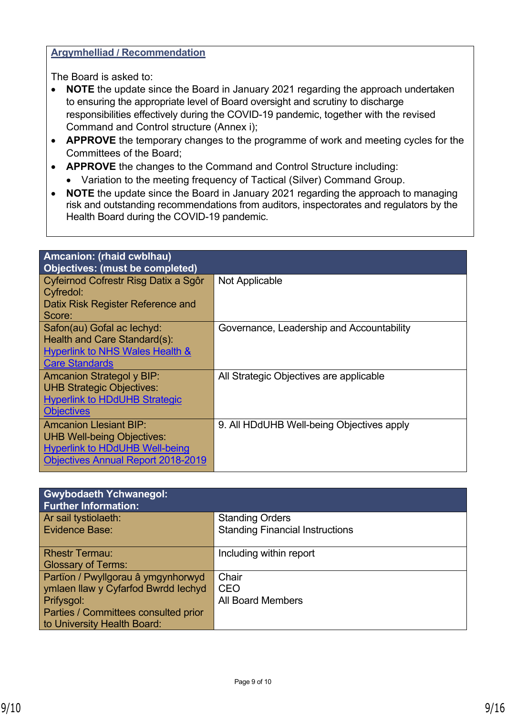## **Argymhelliad / Recommendation**

The Board is asked to:

- **NOTE** the update since the Board in January 2021 regarding the approach undertaken to ensuring the appropriate level of Board oversight and scrutiny to discharge responsibilities effectively during the COVID-19 pandemic, together with the revised Command and Control structure (Annex i);
- **APPROVE** the temporary changes to the programme of work and meeting cycles for the Committees of the Board;
- **APPROVE** the changes to the Command and Control Structure including:
	- Variation to the meeting frequency of Tactical (Silver) Command Group.
- **NOTE** the update since the Board in January 2021 regarding the approach to managing risk and outstanding recommendations from auditors, inspectorates and regulators by the Health Board during the COVID-19 pandemic.

| Amcanion: (rhaid cwblhau)                 |                                           |
|-------------------------------------------|-------------------------------------------|
| Objectives: (must be completed)           |                                           |
| Cyfeirnod Cofrestr Risg Datix a Sgôr      | Not Applicable                            |
| Cyfredol:                                 |                                           |
| Datix Risk Register Reference and         |                                           |
| Score:                                    |                                           |
| Safon(au) Gofal ac lechyd:                | Governance, Leadership and Accountability |
| Health and Care Standard(s):              |                                           |
| Hyperlink to NHS Wales Health &           |                                           |
| <b>Care Standards</b>                     |                                           |
| <b>Amcanion Strategol y BIP:</b>          | All Strategic Objectives are applicable   |
| <b>UHB Strategic Objectives:</b>          |                                           |
| <b>Hyperlink to HDdUHB Strategic</b>      |                                           |
| <b>Objectives</b>                         |                                           |
| <b>Amcanion Llesiant BIP:</b>             | 9. All HDdUHB Well-being Objectives apply |
| <b>UHB Well-being Objectives:</b>         |                                           |
| <b>Hyperlink to HDdUHB Well-being</b>     |                                           |
| <b>Objectives Annual Report 2018-2019</b> |                                           |
|                                           |                                           |

| <b>Gwybodaeth Ychwanegol:</b><br><b>Further Information:</b> |                                        |
|--------------------------------------------------------------|----------------------------------------|
| Ar sail tystiolaeth:                                         | <b>Standing Orders</b>                 |
| <b>Evidence Base:</b>                                        | <b>Standing Financial Instructions</b> |
| <b>Rhestr Termau:</b>                                        | Including within report                |
| <b>Glossary of Terms:</b>                                    |                                        |
| Partïon / Pwyllgorau â ymgynhorwyd                           | Chair                                  |
| ymlaen llaw y Cyfarfod Bwrdd lechyd                          | <b>CEO</b>                             |
| Prifysgol:                                                   | <b>All Board Members</b>               |
| Parties / Committees consulted prior                         |                                        |
| to University Health Board:                                  |                                        |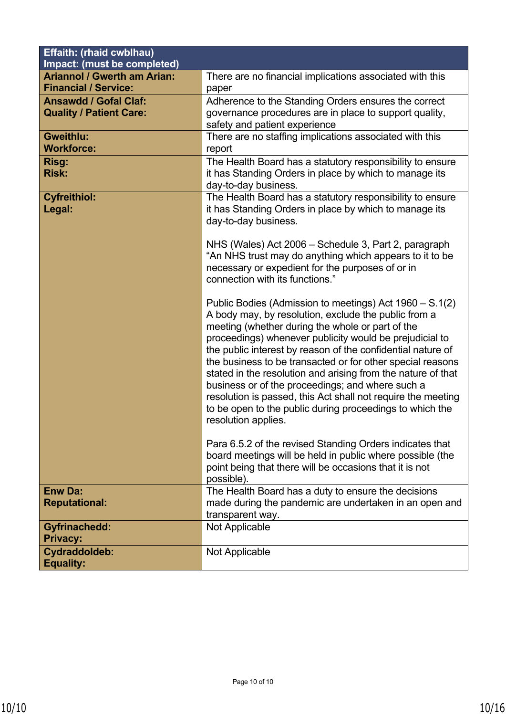| Effaith: (rhaid cwblhau)<br>Impact: (must be completed) |                                                                                     |
|---------------------------------------------------------|-------------------------------------------------------------------------------------|
| <b>Ariannol / Gwerth am Arian:</b>                      | There are no financial implications associated with this                            |
| <b>Financial / Service:</b>                             | paper                                                                               |
| <b>Ansawdd / Gofal Claf:</b>                            | Adherence to the Standing Orders ensures the correct                                |
| <b>Quality / Patient Care:</b>                          | governance procedures are in place to support quality,                              |
|                                                         | safety and patient experience                                                       |
| <b>Gweithlu:</b>                                        | There are no staffing implications associated with this                             |
| <b>Workforce:</b>                                       | report                                                                              |
| Risg:                                                   | The Health Board has a statutory responsibility to ensure                           |
| <b>Risk:</b>                                            | it has Standing Orders in place by which to manage its                              |
|                                                         | day-to-day business.                                                                |
| <b>Cyfreithiol:</b>                                     | The Health Board has a statutory responsibility to ensure                           |
| Legal:                                                  | it has Standing Orders in place by which to manage its                              |
|                                                         | day-to-day business.                                                                |
|                                                         |                                                                                     |
|                                                         | NHS (Wales) Act 2006 – Schedule 3, Part 2, paragraph                                |
|                                                         | "An NHS trust may do anything which appears to it to be                             |
|                                                         | necessary or expedient for the purposes of or in<br>connection with its functions." |
|                                                         |                                                                                     |
|                                                         | Public Bodies (Admission to meetings) Act 1960 – S.1(2)                             |
|                                                         | A body may, by resolution, exclude the public from a                                |
|                                                         | meeting (whether during the whole or part of the                                    |
|                                                         | proceedings) whenever publicity would be prejudicial to                             |
|                                                         | the public interest by reason of the confidential nature of                         |
|                                                         | the business to be transacted or for other special reasons                          |
|                                                         | stated in the resolution and arising from the nature of that                        |
|                                                         | business or of the proceedings; and where such a                                    |
|                                                         | resolution is passed, this Act shall not require the meeting                        |
|                                                         | to be open to the public during proceedings to which the                            |
|                                                         | resolution applies.                                                                 |
|                                                         |                                                                                     |
|                                                         | Para 6.5.2 of the revised Standing Orders indicates that                            |
|                                                         | board meetings will be held in public where possible (the                           |
|                                                         | point being that there will be occasions that it is not                             |
|                                                         | possible).                                                                          |
| <b>Enw Da:</b>                                          | The Health Board has a duty to ensure the decisions                                 |
| <b>Reputational:</b>                                    | made during the pandemic are undertaken in an open and                              |
|                                                         | transparent way.                                                                    |
| <b>Gyfrinachedd:</b>                                    | Not Applicable                                                                      |
| <b>Privacy:</b>                                         |                                                                                     |
| <b>Cydraddoldeb:</b>                                    | Not Applicable                                                                      |
| <b>Equality:</b>                                        |                                                                                     |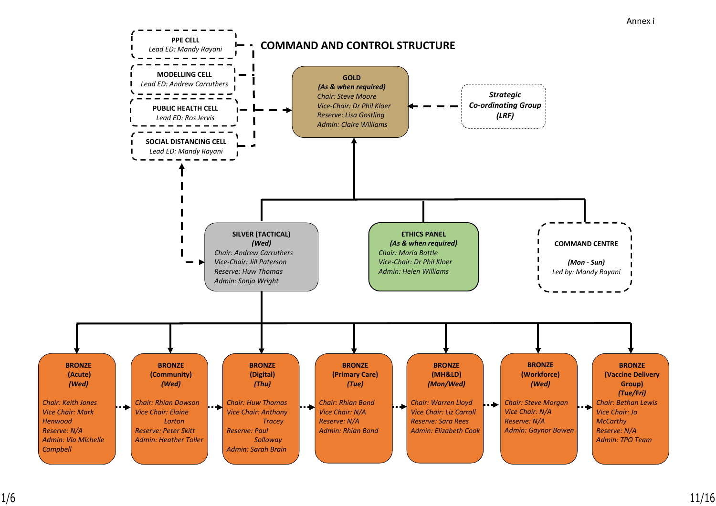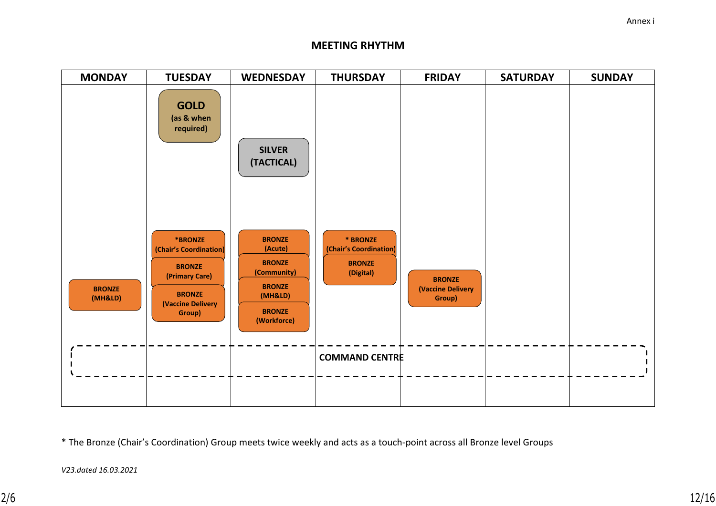#### **MEETING RHYTHM**



\* The Bronze (Chair's Coordination) Group meets twice weekly and acts as a touch-point across all Bronze level Groups

*V23.dated 16.03.2021*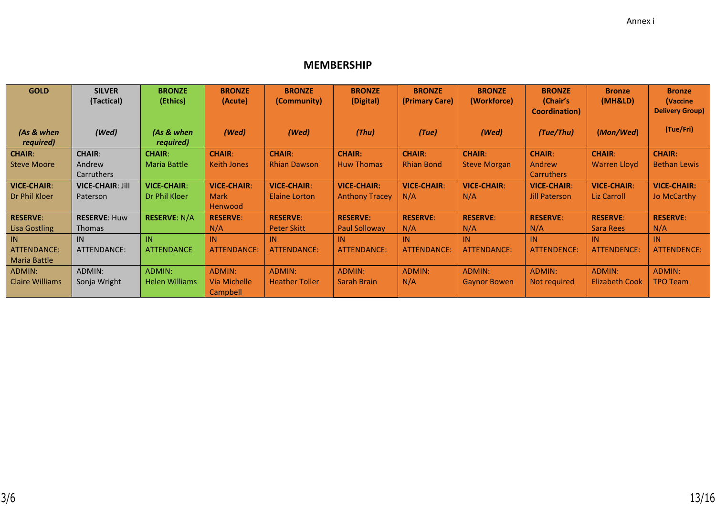## **MEMBERSHIP**

| <b>GOLD</b>            | <b>SILVER</b>           | <b>BRONZE</b>         | <b>BRONZE</b>      | <b>BRONZE</b>         | <b>BRONZE</b>         | <b>BRONZE</b>      | <b>BRONZE</b>       | <b>BRONZE</b>         | <b>Bronze</b>       | <b>Bronze</b>          |
|------------------------|-------------------------|-----------------------|--------------------|-----------------------|-----------------------|--------------------|---------------------|-----------------------|---------------------|------------------------|
|                        | (Tactical)              | (Ethics)              | (Acute)            | (Community)           | (Digital)             | (Primary Care)     | (Workforce)         | (Chair's              | (MH&LD)             | (Vaccine               |
|                        |                         |                       |                    |                       |                       |                    |                     | <b>Coordination</b> ) |                     | <b>Delivery Group)</b> |
|                        |                         |                       |                    |                       |                       |                    |                     |                       |                     | (Tue/Fri)              |
| (As & when             | (Wed)                   | (As & when            | (Wed)              | (Wed)                 | (Thu)                 | (Tue)              | (Wed)               | (Tue/Thu)             | (Mon/Wed)           |                        |
| required)              |                         | required)             |                    |                       |                       |                    |                     |                       |                     |                        |
| <b>CHAIR:</b>          | <b>CHAIR:</b>           | <b>CHAIR:</b>         | <b>CHAIR:</b>      | <b>CHAIR:</b>         | <b>CHAIR:</b>         | <b>CHAIR:</b>      | <b>CHAIR:</b>       | <b>CHAIR:</b>         | <b>CHAIR:</b>       | <b>CHAIR:</b>          |
| <b>Steve Moore</b>     | Andrew                  | <b>Maria Battle</b>   | <b>Keith Jones</b> | <b>Rhian Dawson</b>   | <b>Huw Thomas</b>     | <b>Rhian Bond</b>  | <b>Steve Morgan</b> | Andrew                | <b>Warren Lloyd</b> | <b>Bethan Lewis</b>    |
|                        | Carruthers              |                       |                    |                       |                       |                    |                     | Carruthers            |                     |                        |
| <b>VICE-CHAIR:</b>     | <b>VICE-CHAIR: Jill</b> | <b>VICE-CHAIR:</b>    | <b>VICE-CHAIR:</b> | <b>VICE-CHAIR:</b>    | <b>VICE-CHAIR:</b>    | <b>VICE-CHAIR:</b> | <b>VICE-CHAIR:</b>  | <b>VICE-CHAIR:</b>    | <b>VICE-CHAIR:</b>  | <b>VICE-CHAIR:</b>     |
| Dr Phil Kloer          | Paterson                | Dr Phil Kloer         | <b>Mark</b>        | <b>Elaine Lorton</b>  | <b>Anthony Tracey</b> | N/A                | N/A                 | <b>Jill Paterson</b>  | Liz Carroll         | Jo McCarthy            |
|                        |                         |                       | Henwood            |                       |                       |                    |                     |                       |                     |                        |
| <b>RESERVE:</b>        | <b>RESERVE: Huw</b>     | <b>RESERVE: N/A</b>   | <b>RESERVE:</b>    | <b>RESERVE:</b>       | <b>RESERVE:</b>       | <b>RESERVE:</b>    | <b>RESERVE:</b>     | <b>RESERVE:</b>       | <b>RESERVE:</b>     | <b>RESERVE:</b>        |
| <b>Lisa Gostling</b>   | <b>Thomas</b>           |                       | N/A                | <b>Peter Skitt</b>    | <b>Paul Solloway</b>  | N/A                | N/A                 | N/A                   | Sara Rees           | N/A                    |
| IN.                    | IN                      | IN                    | IN                 | IN                    | IN                    | IN                 | IN                  | IN                    | IN                  | IN                     |
| ATTENDANCE:            | ATTENDANCE:             | <b>ATTENDANCE</b>     | <b>ATTENDANCE:</b> | <b>ATTENDANCE:</b>    | ATTENDANCE:           | <b>ATTENDANCE:</b> | <b>ATTENDANCE:</b>  | <b>ATTENDENCE:</b>    | <b>ATTENDENCE:</b>  | ATTENDENCE:            |
| Maria Battle           |                         |                       |                    |                       |                       |                    |                     |                       |                     |                        |
| ADMIN:                 | ADMIN:                  | ADMIN:                | ADMIN:             | ADMIN:                | ADMIN:                | <b>ADMIN:</b>      | ADMIN:              | ADMIN:                | ADMIN:              | ADMIN:                 |
| <b>Claire Williams</b> | Sonja Wright            | <b>Helen Williams</b> | Via Michelle       | <b>Heather Toller</b> | Sarah Brain           | N/A                | <b>Gaynor Bowen</b> | Not required          | Elizabeth Cook      | <b>TPO Team</b>        |
|                        |                         |                       | Campbell           |                       |                       |                    |                     |                       |                     |                        |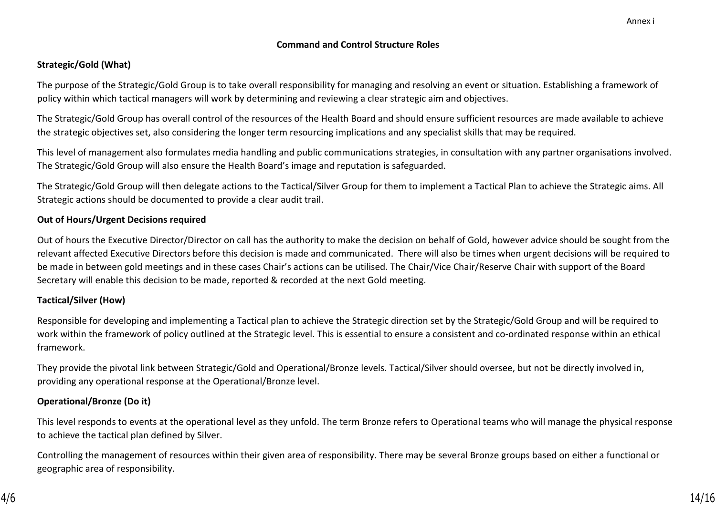#### **Command and Control Structure Roles**

#### **Strategic/Gold (What)**

The purpose of the Strategic/Gold Group is to take overall responsibility for managing and resolving an event or situation. Establishing a framework of policy within which tactical managers will work by determining and reviewing a clear strategic aim and objectives.

The Strategic/Gold Group has overall control of the resources of the Health Board and should ensure sufficient resources are made available to achieve the strategic objectives set, also considering the longer term resourcing implications and any specialist skills that may be required.

This level of management also formulates media handling and public communications strategies, in consultation with any partner organisations involved. The Strategic/Gold Group will also ensure the Health Board's image and reputation is safeguarded.

The Strategic/Gold Group will then delegate actions to the Tactical/Silver Group for them to implement a Tactical Plan to achieve the Strategic aims. All Strategic actions should be documented to provide a clear audit trail.

#### **Out of Hours/Urgent Decisions required**

Out of hours the Executive Director/Director on call has the authority to make the decision on behalf of Gold, however advice should be sought from the relevant affected Executive Directors before this decision is made and communicated. There will also be times when urgent decisions will be required to be made in between gold meetings and in these cases Chair's actions can be utilised. The Chair/Vice Chair/Reserve Chair with support of the Board Secretary will enable this decision to be made, reported & recorded at the next Gold meeting.

#### **Tactical/Silver (How)**

Responsible for developing and implementing a Tactical plan to achieve the Strategic direction set by the Strategic/Gold Group and will be required to work within the framework of policy outlined at the Strategic level. This is essential to ensure a consistent and co-ordinated response within an ethical framework.

They provide the pivotal link between Strategic/Gold and Operational/Bronze levels. Tactical/Silver should oversee, but not be directly involved in, providing any operational response at the Operational/Bronze level.

#### **Operational/Bronze (Do it)**

This level responds to events at the operational level as they unfold. The term Bronze refers to Operational teams who will manage the physical response to achieve the tactical plan defined by Silver.

Controlling the management of resources within their given area of responsibility. There may be several Bronze groups based on either a functional or geographic area of responsibility.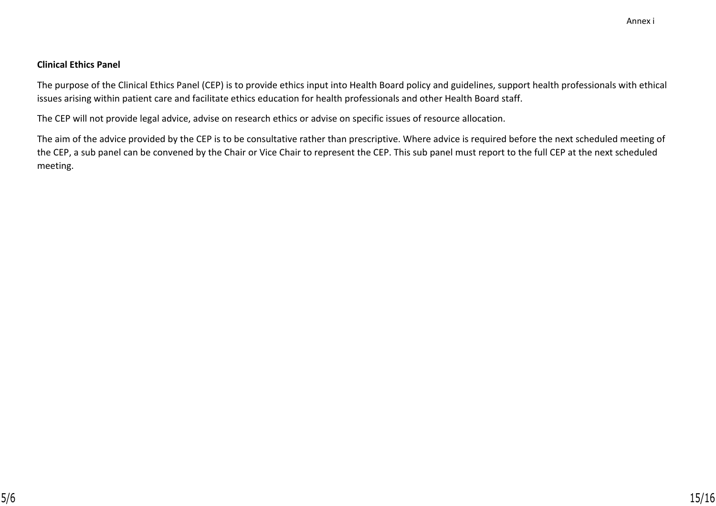#### **Clinical Ethics Panel**

The purpose of the Clinical Ethics Panel (CEP) is to provide ethics input into Health Board policy and guidelines, support health professionals with ethical issues arising within patient care and facilitate ethics education for health professionals and other Health Board staff.

The CEP will not provide legal advice, advise on research ethics or advise on specific issues of resource allocation.

The aim of the advice provided by the CEP is to be consultative rather than prescriptive. Where advice is required before the next scheduled meeting of the CEP, a sub panel can be convened by the Chair or Vice Chair to represent the CEP. This sub panel must report to the full CEP at the next scheduled meeting.